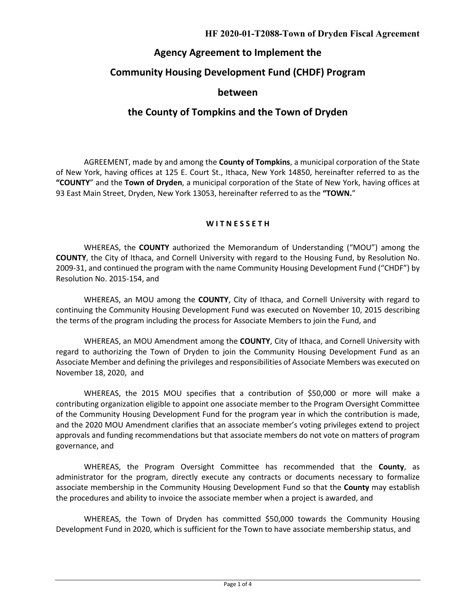#### **HF 2020-01-T2088-Town of Dryden Fiscal Agreement**

## **Agency Agreement to Implement the**

# **Community Housing Development Fund (CHDF) Program**

## **between**

# **the County of Tompkins and the Town of Dryden**

AGREEMENT, made by and among the **County of Tompkins**, a municipal corporation of the State of New York, having offices at 125 E. Court St., Ithaca, New York 14850, hereinafter referred to as the **"COUNTY**" and the **Town of Dryden**, a municipal corporation of the State of New York, having offices at 93 East Main Street, Dryden, New York 13053, hereinafter referred to as the **"TOWN.**"

#### **W I T N E S S E T H**

WHEREAS, the **COUNTY** authorized the Memorandum of Understanding ("MOU") among the **COUNTY**, the City of Ithaca, and Cornell University with regard to the Housing Fund, by Resolution No. 2009-31, and continued the program with the name Community Housing Development Fund ("CHDF") by Resolution No. 2015-154, and

WHEREAS, an MOU among the **COUNTY**, City of Ithaca, and Cornell University with regard to continuing the Community Housing Development Fund was executed on November 10, 2015 describing the terms of the program including the process for Associate Members to join the Fund, and

WHEREAS, an MOU Amendment among the **COUNTY**, City of Ithaca, and Cornell University with regard to authorizing the Town of Dryden to join the Community Housing Development Fund as an Associate Member and defining the privileges and responsibilities of Associate Members was executed on November 18, 2020, and

WHEREAS, the 2015 MOU specifies that a contribution of \$50,000 or more will make a contributing organization eligible to appoint one associate member to the Program Oversight Committee of the Community Housing Development Fund for the program year in which the contribution is made, and the 2020 MOU Amendment clarifies that an associate member's voting privileges extend to project approvals and funding recommendations but that associate members do not vote on matters of program governance, and

WHEREAS, the Program Oversight Committee has recommended that the **County**, as administrator for the program, directly execute any contracts or documents necessary to formalize associate membership in the Community Housing Development Fund so that the **County** may establish the procedures and ability to invoice the associate member when a project is awarded, and

WHEREAS, the Town of Dryden has committed \$50,000 towards the Community Housing Development Fund in 2020, which is sufficient for the Town to have associate membership status, and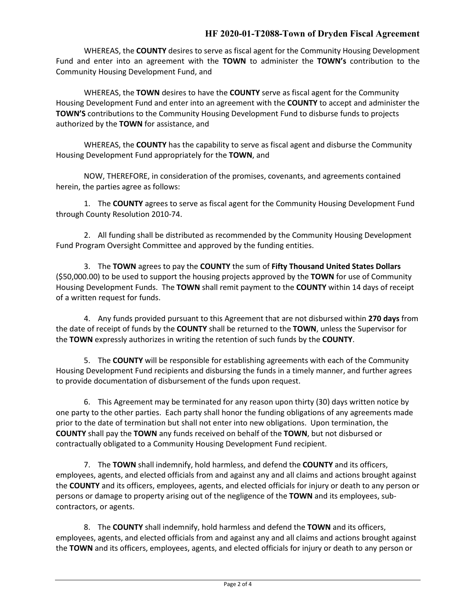## **HF 2020-01-T2088-Town of Dryden Fiscal Agreement**

WHEREAS, the **COUNTY** desires to serve as fiscal agent for the Community Housing Development Fund and enter into an agreement with the **TOWN** to administer the **TOWN's** contribution to the Community Housing Development Fund, and

WHEREAS, the **TOWN** desires to have the **COUNTY** serve as fiscal agent for the Community Housing Development Fund and enter into an agreement with the **COUNTY** to accept and administer the **TOWN'S** contributions to the Community Housing Development Fund to disburse funds to projects authorized by the **TOWN** for assistance, and

WHEREAS, the **COUNTY** has the capability to serve as fiscal agent and disburse the Community Housing Development Fund appropriately for the **TOWN**, and

NOW, THEREFORE, in consideration of the promises, covenants, and agreements contained herein, the parties agree as follows:

1. The **COUNTY** agrees to serve as fiscal agent for the Community Housing Development Fund through County Resolution 2010-74.

2. All funding shall be distributed as recommended by the Community Housing Development Fund Program Oversight Committee and approved by the funding entities.

3. The **TOWN** agrees to pay the **COUNTY** the sum of **Fifty Thousand United States Dollars**  (\$50,000.00) to be used to support the housing projects approved by the **TOWN** for use of Community Housing Development Funds. The **TOWN** shall remit payment to the **COUNTY** within 14 days of receipt of a written request for funds.

4. Any funds provided pursuant to this Agreement that are not disbursed within **270 days** from the date of receipt of funds by the **COUNTY** shall be returned to the **TOWN**, unless the Supervisor for the **TOWN** expressly authorizes in writing the retention of such funds by the **COUNTY**.

5. The **COUNTY** will be responsible for establishing agreements with each of the Community Housing Development Fund recipients and disbursing the funds in a timely manner, and further agrees to provide documentation of disbursement of the funds upon request.

6. This Agreement may be terminated for any reason upon thirty (30) days written notice by one party to the other parties. Each party shall honor the funding obligations of any agreements made prior to the date of termination but shall not enter into new obligations. Upon termination, the **COUNTY** shall pay the **TOWN** any funds received on behalf of the **TOWN**, but not disbursed or contractually obligated to a Community Housing Development Fund recipient.

7. The **TOWN** shall indemnify, hold harmless, and defend the **COUNTY** and its officers, employees, agents, and elected officials from and against any and all claims and actions brought against the **COUNTY** and its officers, employees, agents, and elected officials for injury or death to any person or persons or damage to property arising out of the negligence of the **TOWN** and its employees, subcontractors, or agents.

8. The **COUNTY** shall indemnify, hold harmless and defend the **TOWN** and its officers, employees, agents, and elected officials from and against any and all claims and actions brought against the **TOWN** and its officers, employees, agents, and elected officials for injury or death to any person or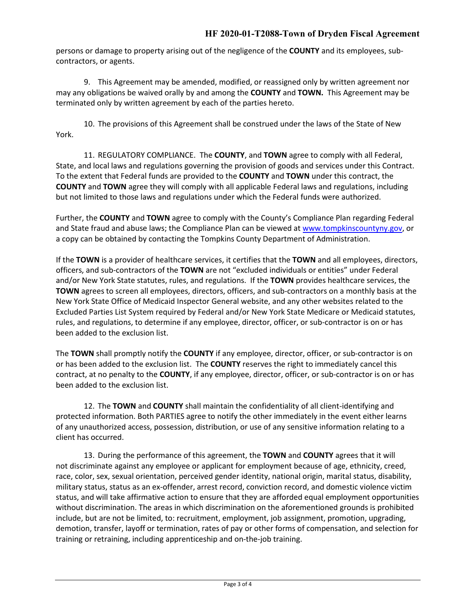persons or damage to property arising out of the negligence of the **COUNTY** and its employees, subcontractors, or agents.

9. This Agreement may be amended, modified, or reassigned only by written agreement nor may any obligations be waived orally by and among the **COUNTY** and **TOWN.** This Agreement may be terminated only by written agreement by each of the parties hereto.

10. The provisions of this Agreement shall be construed under the laws of the State of New York.

11. REGULATORY COMPLIANCE. The **COUNTY**, and **TOWN** agree to comply with all Federal, State, and local laws and regulations governing the provision of goods and services under this Contract. To the extent that Federal funds are provided to the **COUNTY** and **TOWN** under this contract, the **COUNTY** and **TOWN** agree they will comply with all applicable Federal laws and regulations, including but not limited to those laws and regulations under which the Federal funds were authorized.

Further, the **COUNTY** and **TOWN** agree to comply with the County's Compliance Plan regarding Federal and State fraud and abuse laws; the Compliance Plan can be viewed at [www.tompkinscountyny.gov,](http://www.tompkinscountyny.gov/) or a copy can be obtained by contacting the Tompkins County Department of Administration.

If the **TOWN** is a provider of healthcare services, it certifies that the **TOWN** and all employees, directors, officers, and sub-contractors of the **TOWN** are not "excluded individuals or entities" under Federal and/or New York State statutes, rules, and regulations. If the **TOWN** provides healthcare services, the **TOWN** agrees to screen all employees, directors, officers, and sub-contractors on a monthly basis at the New York State Office of Medicaid Inspector General website, and any other websites related to the Excluded Parties List System required by Federal and/or New York State Medicare or Medicaid statutes, rules, and regulations, to determine if any employee, director, officer, or sub-contractor is on or has been added to the exclusion list.

The **TOWN** shall promptly notify the **COUNTY** if any employee, director, officer, or sub-contractor is on or has been added to the exclusion list. The **COUNTY** reserves the right to immediately cancel this contract, at no penalty to the **COUNTY**, if any employee, director, officer, or sub-contractor is on or has been added to the exclusion list.

12. The **TOWN** and **COUNTY** shall maintain the confidentiality of all client-identifying and protected information. Both PARTIES agree to notify the other immediately in the event either learns of any unauthorized access, possession, distribution, or use of any sensitive information relating to a client has occurred.

13. During the performance of this agreement, the **TOWN** and **COUNTY** agrees that it will not discriminate against any employee or applicant for employment because of age, ethnicity, creed, race, color, sex, sexual orientation, perceived gender identity, national origin, marital status, disability, military status, status as an ex-offender, arrest record, conviction record, and domestic violence victim status, and will take affirmative action to ensure that they are afforded equal employment opportunities without discrimination. The areas in which discrimination on the aforementioned grounds is prohibited include, but are not be limited, to: recruitment, employment, job assignment, promotion, upgrading, demotion, transfer, layoff or termination, rates of pay or other forms of compensation, and selection for training or retraining, including apprenticeship and on-the-job training.